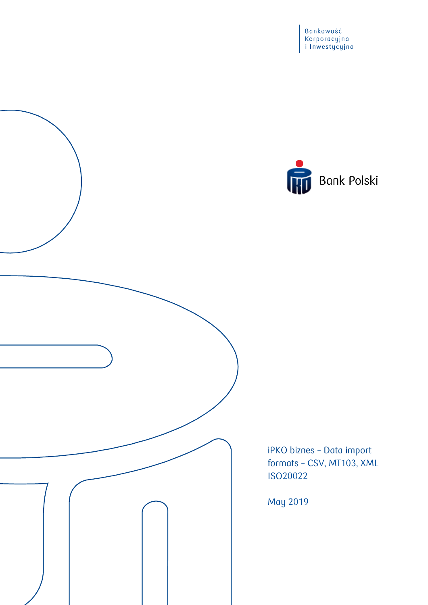Bankowość<br>Korporacyjna<br>i Inwestycyjna



iPKO biznes – Data import formats – CSV, MT103, XML ISO20022

May 2019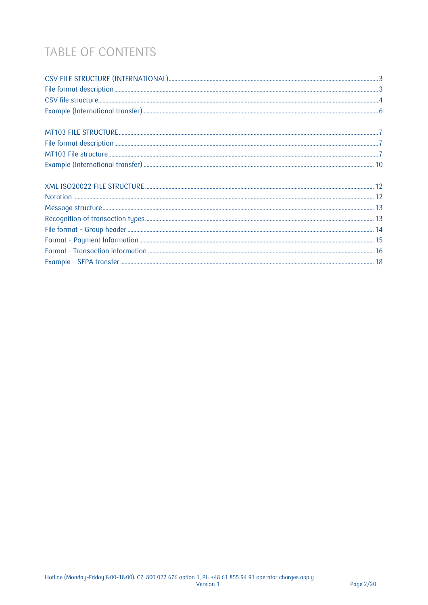# TABLE OF CONTENTS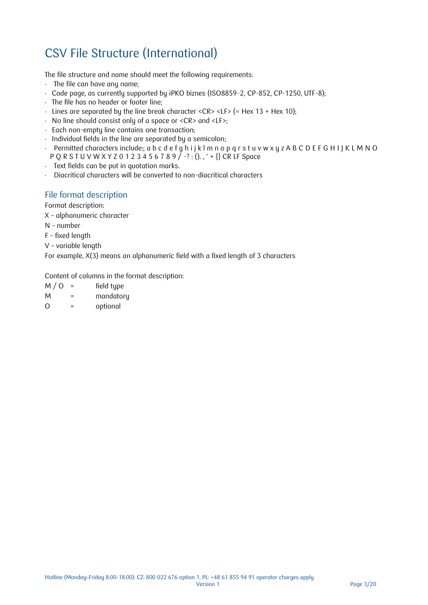# <span id="page-2-0"></span>CSV File Structure (International)

The file structure and name should meet the following requirements:

- The file can have any name;
- Code page, as currently supported by iPKO biznes (ISO8859-2, CP-852, CP-1250, UTF-8);
- The file has no header or footer line;
- Lines are separated by the line break character <CR> <LF> (= Hex  $13 +$  Hex  $10$ );
- No line should consist only of a space or <CR> and <LF>;
- Each non-empty line contains one transaction;
- Individual fields in the line are separated by a semicolon;
- Permitted characters include:; a b c d e f g h i j k l m n o p q r s t u v w x y z A B C D E F G H I J K L M N O  $PQ$  R S T U V W X Y Z 0 1 2 3 4 5 6 7 8 9  $\big/$  -? : ()., ' + {} CR LF Space
- Text fields can be put in quotation marks.
- Diacritical characters will be converted to non-diacritical characters

#### <span id="page-2-1"></span>File format description

Format description:

- X alphanumeric character
- N number
- F fixed length
- V variable length

For example, X(3) means an alphanumeric field with a fixed length of 3 characters

Content of columns in the format description:

 $M / O$  = field type M = mandatory

O = optional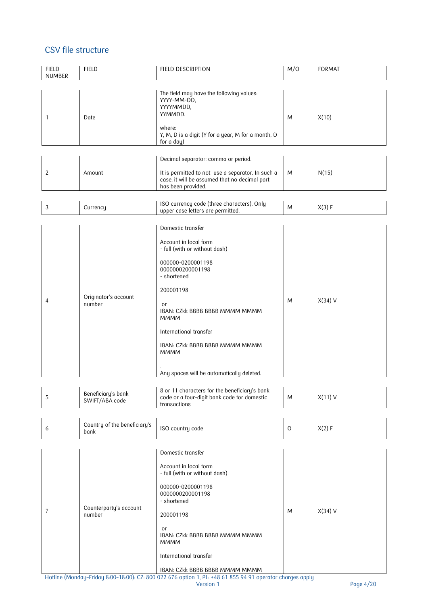#### <span id="page-3-0"></span>CSV file structure

| <b>FIELD</b><br><b>NUMBER</b> | <b>FIELD</b>                         | FIELD DESCRIPTION                                                                                                                                             | M/O           | <b>FORMAT</b> |
|-------------------------------|--------------------------------------|---------------------------------------------------------------------------------------------------------------------------------------------------------------|---------------|---------------|
| 1                             | Date                                 | The field may have the following values:<br>YYYY-MM-DD,<br>YYYYMMDD,<br>YYMMDD.<br>where:<br>Y, M, D is a digit (Y for a year, M for a month, D<br>for a day) | M             | X(10)         |
|                               |                                      | Decimal separator: comma or period.                                                                                                                           |               |               |
| $\overline{c}$                | Amount                               | It is permitted to not use a separator. In such a<br>case, it will be assumed that no decimal part<br>has been provided.                                      | M             | N(15)         |
| $\ensuremath{\mathsf{3}}$     | Currency                             | ISO currency code (three characters). Only<br>upper case letters are permitted.                                                                               | M             | X(3) F        |
|                               |                                      | Domestic transfer                                                                                                                                             |               |               |
|                               |                                      | Account in local form<br>- full (with or without dash)                                                                                                        |               |               |
|                               |                                      | 000000-0200001198<br>0000000200001198<br>- shortened                                                                                                          |               |               |
|                               |                                      | 200001198                                                                                                                                                     |               |               |
| 4                             | Originator's account<br>number       | or<br>IBAN: CZkk BBBB BBBB MMMM MMMM<br><b>MMMM</b>                                                                                                           | M             | $X(34)$ V     |
|                               |                                      | International transfer                                                                                                                                        |               |               |
|                               |                                      | IBAN: CZkk BBBB BBBB MMMM MMMM<br><b>MMMM</b>                                                                                                                 |               |               |
|                               |                                      | Any spaces will be automatically deleted.                                                                                                                     |               |               |
| 5                             | Beneficiary's bank<br>SWIFT/ABA code | 8 or 11 characters for the beneficiary's bank<br>code or a four-digit bank code for domestic<br>transactions                                                  | M             | $X(11)$ V     |
| 6                             | Country of the beneficiary's<br>bank | ISO country code                                                                                                                                              | $\mathcal{O}$ | X(2) F        |
|                               |                                      | Domestic transfer                                                                                                                                             |               |               |
|                               |                                      | Account in local form<br>- full (with or without dash)                                                                                                        |               |               |
|                               |                                      | 000000-0200001198                                                                                                                                             |               |               |
|                               | Counterparty's account<br>number     | 0000000200001198<br>- shortened                                                                                                                               |               |               |
| 7                             |                                      | 200001198                                                                                                                                                     | M             | $X(34)$ V     |
|                               |                                      | or<br>IBAN: CZkk BBBB BBBB MMMM MMMM<br><b>MMMM</b>                                                                                                           |               |               |
|                               |                                      | International transfer                                                                                                                                        |               |               |
|                               |                                      | IBAN: CZkk BBBB BBBB MMMM MMMM<br>Hotline (Monday-Friday 8:00-18:00): CZ: 800 022 676 option 1, PL: +48 61 855 94 91 operator charges apply                   |               |               |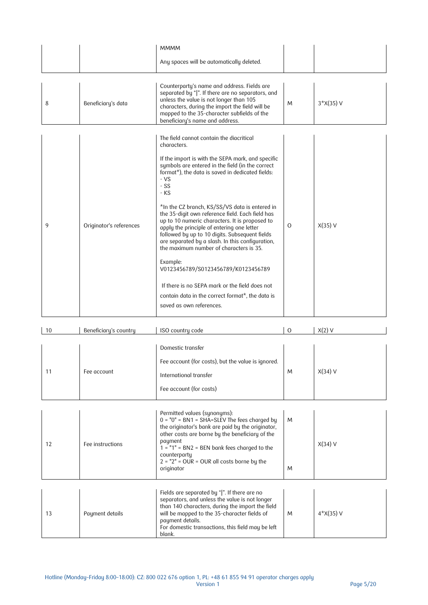|                                                                                                                                                      |                         | <b>MMMM</b>                                                                                                                                                                                                                                                                                                                                                                                                                                                                                                                                                                                                                                                                                                                                                                                 |          |             |
|------------------------------------------------------------------------------------------------------------------------------------------------------|-------------------------|---------------------------------------------------------------------------------------------------------------------------------------------------------------------------------------------------------------------------------------------------------------------------------------------------------------------------------------------------------------------------------------------------------------------------------------------------------------------------------------------------------------------------------------------------------------------------------------------------------------------------------------------------------------------------------------------------------------------------------------------------------------------------------------------|----------|-------------|
|                                                                                                                                                      |                         | Any spaces will be automatically deleted.                                                                                                                                                                                                                                                                                                                                                                                                                                                                                                                                                                                                                                                                                                                                                   |          |             |
| unless the value is not longer than 105<br>Beneficiary's data<br>8<br>mapped to the 35-character subfields of the<br>beneficiary's name and address. |                         | Counterparty's name and address. Fields are<br>separated by " ". If there are no separators, and<br>characters, during the import the field will be                                                                                                                                                                                                                                                                                                                                                                                                                                                                                                                                                                                                                                         | M        | $3*X(35) V$ |
| 9                                                                                                                                                    | Originator's references | The field cannot contain the diacritical<br>characters.<br>If the import is with the SEPA mark, and specific<br>symbols are entered in the field (in the correct<br>format*), the data is saved in dedicated fields:<br>$-VS$<br>$-SS$<br>$-KS$<br>*In the CZ branch, KS/SS/VS data is entered in<br>the 35-digit own reference field. Each field has<br>up to 10 numeric characters. It is proposed to<br>apply the principle of entering one letter<br>followed by up to 10 digits. Subsequent fields<br>are separated by a slash. In this configuration,<br>the maximum number of characters is 35.<br>Example:<br>V0123456789/S0123456789/K0123456789<br>If there is no SEPA mark or the field does not<br>contain data in the correct format*, the data is<br>saved as own references. | $\Omega$ | $X(35)$ V   |

| 10 | Beneficiary's country | ISO country code                                                                                                                                                                                                                                                                                                                     | $\Omega$ | $X(2)$ V          |
|----|-----------------------|--------------------------------------------------------------------------------------------------------------------------------------------------------------------------------------------------------------------------------------------------------------------------------------------------------------------------------------|----------|-------------------|
| 11 | Fee account           | Domestic transfer<br>Fee account (for costs), but the value is ignored.<br>International transfer<br>Fee account (for costs)                                                                                                                                                                                                         | M        | $X(34)$ V         |
| 12 | Fee instructions      | Permitted values (synonyms):<br>$0 = "0" = B N1 = SHA = SLEV$ The fees charged by<br>the originator's bank are paid by the originator,<br>other costs are borne by the beneficiary of the<br>payment<br>$1 = "1" = BN2 = BEN$ bank fees charged to the<br>counterparty<br>$2 = "2" = OUR = OUR$ all costs borne by the<br>originator | M<br>M   | $X(34)$ V         |
| 13 | Payment details       | Fields are separated by " ". If there are no<br>separators, and unless the value is not longer<br>than 140 characters, during the import the field<br>will be mapped to the 35-character fields of                                                                                                                                   | M        | $4 \times (35)$ V |

For domestic transactions, this field may be left

payment details.

<span id="page-4-0"></span>blank.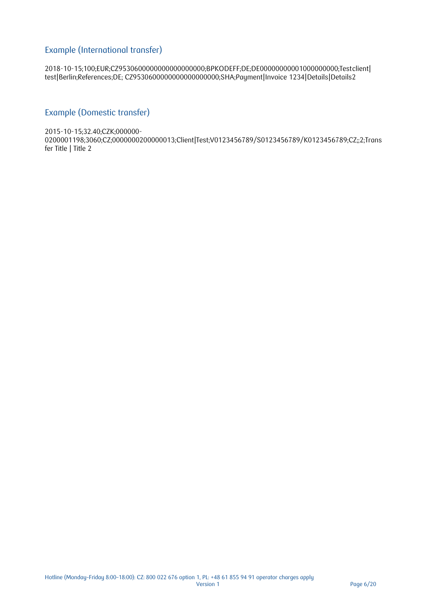#### Example (International transfer)

2018-10-15;100;EUR;CZ9530600000000000000000;BPKODEFF;DE;DE00000000001000000000;Testclient| test|Berlin;References;DE; CZ9530600000000000000000;SHA;Payment|Invoice 1234|Details|Details2

#### Example (Domestic transfer)

2015-10-15;32.40;CZK;000000-

0200001198;3060;CZ;0000000200000013;Client|Test;V0123456789/S0123456789/K0123456789;CZ;;2;Trans fer Title | Title 2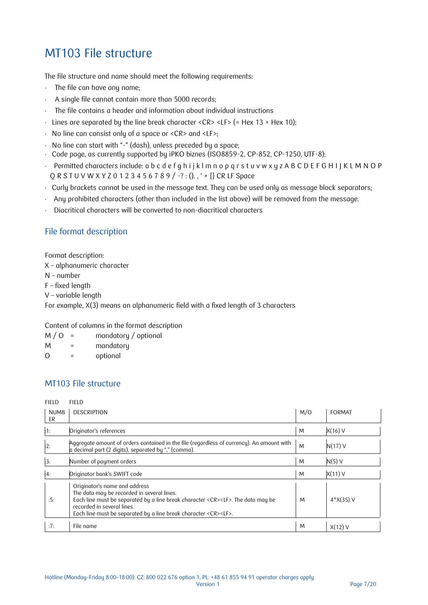## <span id="page-6-0"></span>MT103 File structure

The file structure and name should meet the following requirements:

- $\cdot$  The file can have any name;
- A single file cannot contain more than 5000 records;
- The file contains a header and information about individual instructions
- Lines are separated by the line break character <CR> <LF> (= Hex  $13 +$  Hex  $10$ );
- No line can consist only of a space or <CR> and <LF>;
- No line can start with "-" (dash), unless preceded by a space;
- Code page, as currently supported by iPKO biznes (ISO8859-2, CP-852, CP-1250, UTF-8);
- Permitted characters include: a b c d e f g h i j k l m n o p q r s t u v w x y z A B C D E F G H I J K L M N O P Q R S T U V W X Y Z 0 1 2 3 4 5 6 7 8 9 / -? : ()., ' + {} CR LF Space
- Curly brackets cannot be used in the message text. They can be used only as message block separators;
- Any prohibited characters (other than included in the list above) will be removed from the message.
- Diacritical characters will be converted to non-diacritical characters

#### <span id="page-6-1"></span>File format description

Format description:

- X alphanumeric character
- N number
- F fixed length
- V variable length

For example, X(3) means an alphanumeric field with a fixed length of 3 characters

Content of columns in the format description

- $M / O$  = mandatory / optional
- M = mandatory
- O = optional

#### <span id="page-6-2"></span>MT103 File structure

FIELD FIELD

| <b>NUMB</b><br>ER | <b>DESCRIPTION</b>                                                                                                                                                                                                                                                                    | M/O | <b>FORMAT</b> |
|-------------------|---------------------------------------------------------------------------------------------------------------------------------------------------------------------------------------------------------------------------------------------------------------------------------------|-----|---------------|
| $\frac{1}{2}$ 1:  | Originator's references                                                                                                                                                                                                                                                               | M   | $X(16)$ V     |
| :2:               | Aggregate amount of orders contained in the file (regardless of currency). An amount with<br>a decimal part (2 digits), separated by "," (comma).                                                                                                                                     | M   | $N(17)$ V     |
| 3:                | Number of payment orders                                                                                                                                                                                                                                                              | M   | $N(5)$ V      |
| :4:               | Originator bank's SWIFT code                                                                                                                                                                                                                                                          | M   | $X(11)$ V     |
| :5:               | Originator's name and address<br>The data may be recorded in several lines.<br>Each line must be separated by a line break character <cr><lf>. The data may be<br/>recorded in several lines.<br/>Each line must be separated by a line break character <cr><lf>.</lf></cr></lf></cr> | M   | $4*X(35)$ V   |
| :7:               | File name                                                                                                                                                                                                                                                                             | M   | $X(12)$ V     |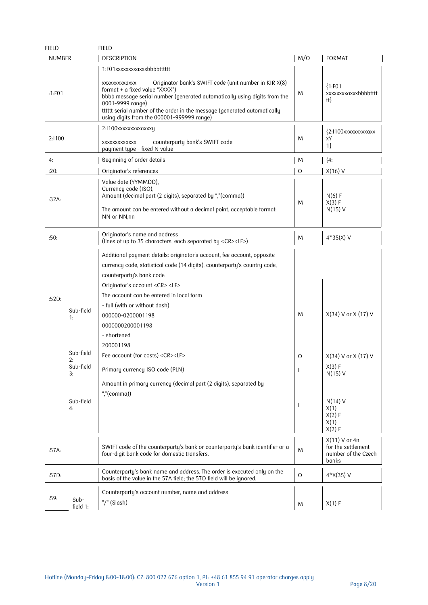| <b>FIELD</b>                                                                      | <b>FIELD</b>                                                                                                                                                                                                                                                                                                                                                                                                                                                                                                                                                  |                              |                                                                                                                          |
|-----------------------------------------------------------------------------------|---------------------------------------------------------------------------------------------------------------------------------------------------------------------------------------------------------------------------------------------------------------------------------------------------------------------------------------------------------------------------------------------------------------------------------------------------------------------------------------------------------------------------------------------------------------|------------------------------|--------------------------------------------------------------------------------------------------------------------------|
| <b>NUMBER</b>                                                                     | <b>DESCRIPTION</b>                                                                                                                                                                                                                                                                                                                                                                                                                                                                                                                                            | M/O                          | <b>FORMAT</b>                                                                                                            |
| :1:FO1                                                                            | 1:F01xxxxxxxxxxxxbbbttttttt<br>Originator bank's SWIFT code (unit number in KIR X(8)<br>XXXXXXXXXXXX<br>format + a fixed value "XXXX")<br>bbbb message serial number (generated automatically using digits from the<br>0001-9999 range)<br>tttttt serial number of the order in the message (generated automatically<br>using digits from the 000001-999999 range)                                                                                                                                                                                            | M                            | ${1:}F01$<br>xxxxxxxaxxxbbbbtttt<br>tt}                                                                                  |
| 2:1100                                                                            | 2:1100xxxxxxxxxxxxxy<br>counterparty bank's SWIFT code<br>XXXXXXXXXXXX<br>payment type - fixed N value                                                                                                                                                                                                                                                                                                                                                                                                                                                        | M                            | $2:1100$ xxxxxxxxxaxx<br>хY<br>1                                                                                         |
| 4:                                                                                | Beginning of order details                                                                                                                                                                                                                                                                                                                                                                                                                                                                                                                                    | M                            | ${4:}$                                                                                                                   |
| :20:                                                                              | Originator's references                                                                                                                                                                                                                                                                                                                                                                                                                                                                                                                                       | $\Omega$                     | $X(16)$ V                                                                                                                |
| :32A.                                                                             | Value date (YYMMDD),<br>Currency code (ISO),<br>Amount (decimal part (2 digits), separated by ","(comma))<br>The amount can be entered without a decimal point, acceptable format:<br>NN or NN,nn                                                                                                                                                                                                                                                                                                                                                             | M                            | $N(6)$ F<br>X(3) F<br>$N(15)$ V                                                                                          |
| :50:                                                                              | Originator's name and address<br>(lines of up to 35 characters, each separated by <cr><lf>)</lf></cr>                                                                                                                                                                                                                                                                                                                                                                                                                                                         | M                            | $4*35(X)$ V                                                                                                              |
| :520:<br>Sub-field<br>1:<br>Sub-field<br>2:<br>Sub-field<br>3:<br>Sub-field<br>4: | Additional payment details: originator's account, fee account, opposite<br>currency code, statistical code (14 digits), counterparty's country code,<br>counterparty's bank code<br>Originator's account <cr> <lf><br/>The account can be entered in local form<br/>- full (with or without dash)<br/>000000-0200001198<br/>0000000200001198<br/>- shortened<br/>200001198<br/>Fee account (for costs) <cr><lf><br/>Primary currency ISO code (PLN)<br/>Amount in primary currency (decimal part (2 digits), separated by<br/>","(comma))</lf></cr></lf></cr> | M<br>$\circ$<br>$\mathbf{I}$ | $X(34) V$ or $X(17) V$<br>$X(34) V$ or $X(17) V$<br>X(3) F<br>$N(15)$ V<br>$N(14)$ V<br>X(1)<br>X(2) F<br>X(1)<br>X(2) F |
| :57A.                                                                             | SWIFT code of the counterparty's bank or counterparty's bank identifier or a<br>four-digit bank code for domestic transfers.                                                                                                                                                                                                                                                                                                                                                                                                                                  | M                            | $X(11) V$ or 4n<br>for the settlement<br>number of the Czech<br>banks                                                    |
| :57D:                                                                             | Counterparty's bank name and address. The order is executed only on the<br>basis of the value in the 57A field; the 57D field will be ignored.                                                                                                                                                                                                                                                                                                                                                                                                                | $\mathcal O$                 | $4*X(35) V$                                                                                                              |
| :59:<br>$Sub-$<br>field 1:                                                        | Counterparty's account number, name and address<br>"/" (Slash)                                                                                                                                                                                                                                                                                                                                                                                                                                                                                                | M                            | X(1) F                                                                                                                   |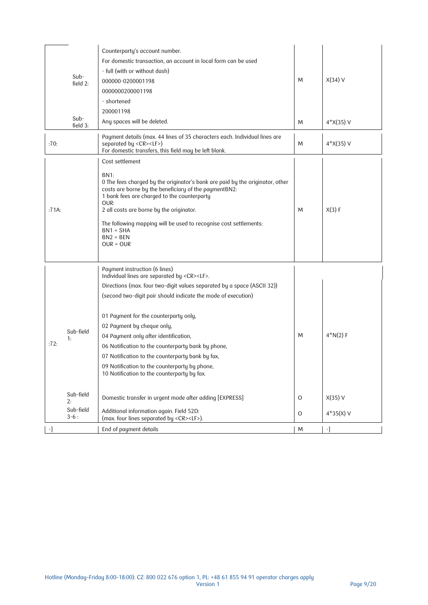| Counterparty's account number.<br>For domestic transaction, an account in local form can be used<br>- full (with or without dash)<br>000000-0200001198<br>0000000200001198<br>- shortened<br>200001198                                                                                                                                                                                                                                                                                                                                                                                                                                                                         | M                                                                                                                                                | $X(34)$ V<br>$4 \times (35)$ V         |
|--------------------------------------------------------------------------------------------------------------------------------------------------------------------------------------------------------------------------------------------------------------------------------------------------------------------------------------------------------------------------------------------------------------------------------------------------------------------------------------------------------------------------------------------------------------------------------------------------------------------------------------------------------------------------------|--------------------------------------------------------------------------------------------------------------------------------------------------|----------------------------------------|
| Payment details (max. 44 lines of 35 characters each. Individual lines are<br>separated by <cr><lf>)<br/>For domestic transfers, this field may be left blank.</lf></cr>                                                                                                                                                                                                                                                                                                                                                                                                                                                                                                       | M                                                                                                                                                | $4*X(35) V$                            |
| Cost settlement<br>BN1:<br>0 The fees charged by the originator's bank are paid by the originator, other<br>costs are borne by the beneficiary of the paymentBN2:<br>1 bank fees are charged to the counterparty<br>OUR:<br>2 all costs are borne by the originator.<br>The following mapping will be used to recognise cost settlements:<br>$BN1 = SHA$<br>$BN2 = BEN$<br>$OUR = OUR$                                                                                                                                                                                                                                                                                         | M                                                                                                                                                | X(3) F                                 |
| Payment instruction (6 lines)<br>Individual lines are separated by <cr><lf>.<br/>Directions (max. four two-digit values separated by a space (ASCII 32))<br/>(second two-digit pair should indicate the mode of execution)<br/>01 Payment for the counterparty only,<br/>02 Payment by cheque only,<br/>04 Payment only after identification,<br/>06 Notification to the counterparty bank by phone,<br/>07 Notification to the counterparty bank by fax,<br/>09 Notification to the counterparty by phone,<br/>10 Notification to the counterparty by fax.<br/>Domestic transfer in urgent mode after adding [EXPRESS]<br/>Additional information again. Field 52D:</lf></cr> | M<br>$\circ$<br>$\mathbf 0$                                                                                                                      | $4*N(2) F$<br>$X(35)$ V<br>$4*35(X)$ V |
| End of payment details                                                                                                                                                                                                                                                                                                                                                                                                                                                                                                                                                                                                                                                         | M                                                                                                                                                | -}                                     |
|                                                                                                                                                                                                                                                                                                                                                                                                                                                                                                                                                                                                                                                                                | field 2:<br>Any spaces will be deleted.<br>field 3:<br>Sub-field<br>Sub-field<br>Sub-field<br>(max. four lines separated by <cr><lf>).</lf></cr> | M                                      |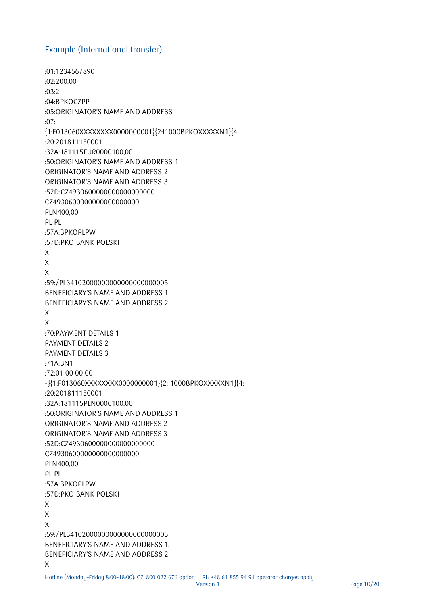#### <span id="page-9-0"></span>Example (International transfer)

```
:01:1234567890 
:02:200.00 
:03:2
:04:BPKOCZPP
:05:ORIGINATOR'S NAME AND ADDRESS 
:07:
{1:F013060XXXXXXXX0000000001}{2:I1000BPKOXXXXXN1}{4:
:20:201811150001
:32A:181115EUR0000100,00
:50:ORIGINATOR'S NAME AND ADDRESS 1 
ORIGINATOR'S NAME AND ADDRESS 2 
ORIGINATOR'S NAME AND ADDRESS 3 
:52D:CZ4930600000000000000000
CZ4930600000000000000000
PLN400,00
PL PL
:57A:BPKOPLPW 
:57D:PKO BANK POLSKI 
X
X
X
:59:/PL34102000000000000000000005 
BENEFICIARY'S NAME AND ADDRESS 1
BENEFICIARY'S NAME AND ADDRESS 2 
X 
X 
:70:PAYMENT DETAILS 1
PAYMENT DETAILS 2
PAYMENT DETAILS 3
:71A:BN1
:72:01 00 00 00 
-}{1:F013060XXXXXXXX0000000001}{2:I1000BPKOXXXXXN1}{4:
:20:201811150001
:32A:181115PLN0000100,00
:50:ORIGINATOR'S NAME AND ADDRESS 1 
ORIGINATOR'S NAME AND ADDRESS 2 
ORIGINATOR'S NAME AND ADDRESS 3 
:52D:CZ4930600000000000000000
CZ49306000000000000000000
PLN400,00
PL PL
:57A:BPKOPLPW 
:57D:PKO BANK POLSKI 
X
X
X
:59:/PL34102000000000000000000005 
BENEFICIARY'S NAME AND ADDRESS 1.
BENEFICIARY'S NAME AND ADDRESS 2 
X
```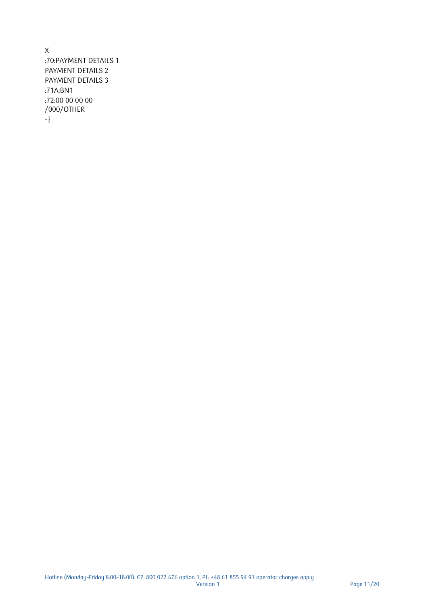X :70:PAYMENT DETAILS 1 PAYMENT DETAILS 2 PAYMENT DETAILS 3 :71A:BN1 :72:00 00 00 00 /000/OTHER -}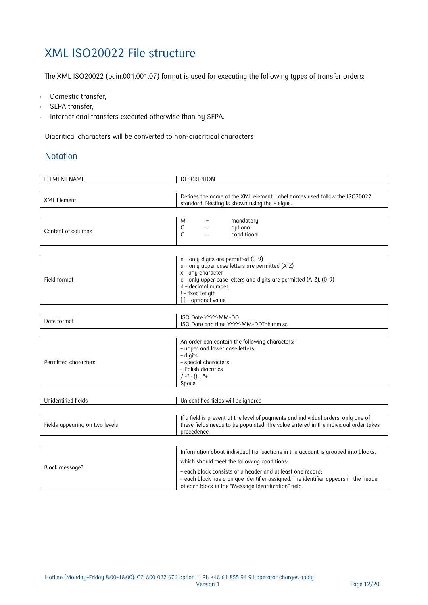## <span id="page-11-0"></span>XML ISO20022 File structure

The XML ISO20022 (pain.001.001.07) format is used for executing the following types of transfer orders:

- Domestic transfer,
- SEPA transfer,
- . International transfers executed otherwise than by SEPA.

Diacritical characters will be converted to non-diacritical characters

#### <span id="page-11-1"></span>**Notation**

| <b>ELEMENT NAME</b>            | <b>DESCRIPTION</b>                                                                                                                                                                                                                                                                                                                           |  |  |
|--------------------------------|----------------------------------------------------------------------------------------------------------------------------------------------------------------------------------------------------------------------------------------------------------------------------------------------------------------------------------------------|--|--|
| <b>XML Element</b>             | Defines the name of the XML element. Label names used follow the ISO20022<br>standard. Nesting is shown using the $+$ signs.                                                                                                                                                                                                                 |  |  |
| Content of columns             | M<br>mandatory<br>$\circ$<br>optional<br>$\equiv$<br>C<br>conditional                                                                                                                                                                                                                                                                        |  |  |
| Field format                   | $n$ - only digits are permitted (0-9)<br>a - only upper case letters are permitted (A-Z)<br>$x$ - any character<br>c - only upper case letters and digits are permitted (A-Z), (0-9)<br>d - decimal number<br>! - fixed length<br>[] - optional value                                                                                        |  |  |
| Date format                    | ISO Date YYYY-MM-DD<br>ISO Date and time YYYY-MM-DDThh:mm:ss                                                                                                                                                                                                                                                                                 |  |  |
| Permitted characters           | An order can contain the following characters:<br>- upper and lower case letters;<br>- digits;<br>- special characters:<br>- Polish diacritics<br>$/ - ? : 0.$ , "+<br>Space                                                                                                                                                                 |  |  |
| Unidentified fields            | Unidentified fields will be ignored                                                                                                                                                                                                                                                                                                          |  |  |
| Fields appearing on two levels | If a field is present at the level of payments and individual orders, only one of<br>these fields needs to be populated. The value entered in the individual order takes<br>precedence.                                                                                                                                                      |  |  |
| Block message?                 | Information about individual transactions in the account is grouped into blocks,<br>which should meet the following conditions:<br>- each block consists of a header and at least one record;<br>- each block has a unique identifier assigned. The identifier appears in the header<br>of each block in the "Message Identification" field. |  |  |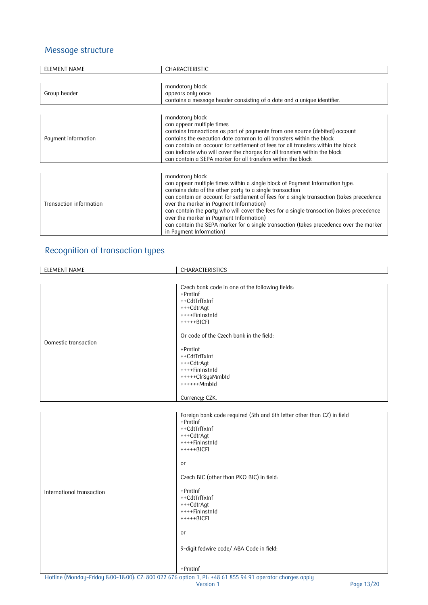#### <span id="page-12-0"></span>Message structure

| <b>ELEMENT NAME</b>     | CHARACTERISTIC                                                                                                                                                                                                                                                                                                                                                                                                                                                                                                                                                 |
|-------------------------|----------------------------------------------------------------------------------------------------------------------------------------------------------------------------------------------------------------------------------------------------------------------------------------------------------------------------------------------------------------------------------------------------------------------------------------------------------------------------------------------------------------------------------------------------------------|
|                         |                                                                                                                                                                                                                                                                                                                                                                                                                                                                                                                                                                |
| Group header            | mandatory block<br>appears only once<br>contains a message header consisting of a date and a unique identifier.                                                                                                                                                                                                                                                                                                                                                                                                                                                |
|                         |                                                                                                                                                                                                                                                                                                                                                                                                                                                                                                                                                                |
| Payment information     | mandatory block<br>can appear multiple times<br>contains transactions as part of payments from one source (debited) account<br>contains the execution date common to all transfers within the block<br>can contain an account for settlement of fees for all transfers within the block<br>can indicate who will cover the charges for all transfers within the block<br>can contain a SEPA marker for all transfers within the block                                                                                                                          |
| Transaction information | mandatory block<br>can appear multiple times within a single block of Payment Information type.<br>contains data of the other party to a single transaction<br>can contain an account for settlement of fees for a single transaction (takes precedence<br>over the marker in Payment Information)<br>can contain the party who will cover the fees for a single transaction (takes precedence<br>over the marker in Payment Information)<br>can contain the SEPA marker for a single transaction (takes precedence over the marker<br>in Payment Information) |

### <span id="page-12-1"></span>Recognition of transaction types

| ELEMENT NAME              | CHARACTERISTICS                                                                                                                                                                                                                                                                                                                                 |
|---------------------------|-------------------------------------------------------------------------------------------------------------------------------------------------------------------------------------------------------------------------------------------------------------------------------------------------------------------------------------------------|
|                           | Czech bank code in one of the following fields:<br>+PmtInf<br>++CdtTrfTxInf<br>+++CdtrAgt<br>++++FinInstnId<br>$++++BICFI$                                                                                                                                                                                                                      |
| Domestic transaction      | Or code of the Czech bank in the field:<br>+PmtInf<br>++CdtTrfTxInf<br>+++CdtrAgt<br>++++FinInstnId<br>+++++ClrSysMmbId<br>++++++Mmbld                                                                                                                                                                                                          |
|                           | Currency: CZK.                                                                                                                                                                                                                                                                                                                                  |
| International transaction | Foreign bank code required (5th and 6th letter other than CZ) in field<br>+PmtInf<br>++CdtTrfTxInf<br>+++CdtrAgt<br>++++FinInstnId<br>$+++++BICFI$<br>or<br>Czech BIC (other than PKO BIC) in field:<br>+PmtInf<br>++CdtTrfTxInf<br>+++CdtrAgt<br>$++++FinInstnId$<br>$+++++BICFI$<br>or<br>9-digit fedwire code/ ABA Code in field:<br>+PmtInf |

Hotline (Monday–Friday 8:00–18:00): CZ: 800 022 676 option 1, PL: +48 61 855 94 91 operator charges apply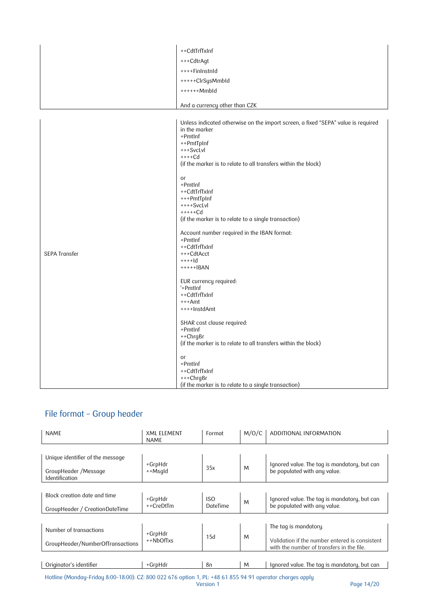|                      | ++CdtTrfTxInf                                                                                                                                                                                                                                                                                                                                                                                                                                                                                                                                                                                                                                                                                                                                                                                         |
|----------------------|-------------------------------------------------------------------------------------------------------------------------------------------------------------------------------------------------------------------------------------------------------------------------------------------------------------------------------------------------------------------------------------------------------------------------------------------------------------------------------------------------------------------------------------------------------------------------------------------------------------------------------------------------------------------------------------------------------------------------------------------------------------------------------------------------------|
|                      | +++CdtrAgt                                                                                                                                                                                                                                                                                                                                                                                                                                                                                                                                                                                                                                                                                                                                                                                            |
|                      | ++++FinInstnId                                                                                                                                                                                                                                                                                                                                                                                                                                                                                                                                                                                                                                                                                                                                                                                        |
|                      | +++++ClrSysMmbId                                                                                                                                                                                                                                                                                                                                                                                                                                                                                                                                                                                                                                                                                                                                                                                      |
|                      | $++++Mmbld$                                                                                                                                                                                                                                                                                                                                                                                                                                                                                                                                                                                                                                                                                                                                                                                           |
|                      | And a currency other than CZK                                                                                                                                                                                                                                                                                                                                                                                                                                                                                                                                                                                                                                                                                                                                                                         |
| <b>SEPA Transfer</b> | Unless indicated otherwise on the import screen, a fixed "SEPA" value is required<br>in the marker<br>$+PmtInf$<br>++PmtTpInf<br>$+++SvcLvl$<br>$+++Cd$<br>(if the marker is to relate to all transfers within the block)<br>or<br>$+PmtInf$<br>++CdtTrfTxInf<br>+++PmtTpInf<br>$++++SvcLvl$<br>$+++++Cd$<br>(if the marker is to relate to a single transaction)<br>Account number required in the IBAN format:<br>$+PmtInf$<br>++CdtTrfTxInf<br>+++CdtAcct<br>$+++1d$<br>$***+BAN$<br>EUR currency required:<br>'+PmtInf<br>++CdtTrfTxInf<br>$+++Amt$<br>++++InstdAmt<br>SHAR cost clause required:<br>+PmtInf<br>++ChrgBr<br>(if the marker is to relate to all transfers within the block)<br>or<br>+PmtInf<br>++CdtTrfTxInf<br>+++ChrgBr<br>(if the marker is to relate to a single transaction) |

### <span id="page-13-0"></span>File format – Group header

| <b>NAMF</b>                                                                | <b>XMI FIFMFNT</b><br><b>NAMF</b> | Format                        | M/O/C | ADDITIONAL INFORMATION                                                                                               |
|----------------------------------------------------------------------------|-----------------------------------|-------------------------------|-------|----------------------------------------------------------------------------------------------------------------------|
| Unique identifier of the message<br>GroupHeader /Message<br>Identification | +GrpHdr<br>++Msqld                | 35x                           | M     | Ignored value. The tag is mandatory, but can<br>be populated with any value.                                         |
| Block creation date and time<br>GroupHeader / CreationDateTime             | +GrpHdr<br>++CreDtTm              | <b>ISO</b><br><b>DateTime</b> | M     | Ignored value. The tag is mandatory, but can<br>be populated with any value.                                         |
| Number of transactions<br>GroupHeader/NumberOfTransactions                 | +GrpHdr<br>$+$ +NbOfTxs           | 15d                           | M     | The tag is mandatory.<br>Validation if the number entered is consistent<br>with the number of transfers in the file. |
| Originator's identifier                                                    | +GrpHdr                           | 8п                            | M     | Ignored value. The tag is mandatory, but can                                                                         |

Hotline (Monday–Friday 8:00–18:00): CZ: 800 022 676 option 1, PL: +48 61 855 94 91 operator charges apply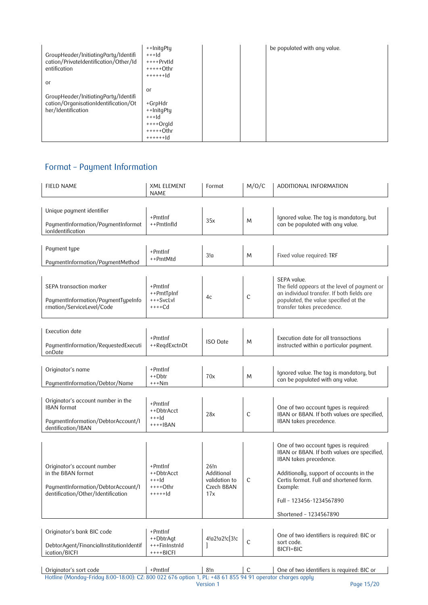| GroupHeader/InitiatingParty/Identifi<br>cation/PrivateIdentification/Other/Id<br>entification | ++InitgPty<br>$+++Id$<br>$+++PPrvtld$<br>$++++0$ thr<br>$+ + + + + +  d$ |  | be populated with any value. |
|-----------------------------------------------------------------------------------------------|--------------------------------------------------------------------------|--|------------------------------|
| or                                                                                            |                                                                          |  |                              |
| GroupHeader/InitiatingParty/Identifi                                                          | or                                                                       |  |                              |
| cation/OrganisationIdentification/Ot                                                          | +GrpHdr                                                                  |  |                              |
| her/Identification                                                                            | ++InitgPty                                                               |  |                              |
|                                                                                               | $+++Id$                                                                  |  |                              |
|                                                                                               | $+++O$ rgld                                                              |  |                              |
|                                                                                               | $++++0$ thr                                                              |  |                              |
|                                                                                               | $+ + + + + +  d$                                                         |  |                              |

### <span id="page-14-0"></span>Format – Payment Information

| <b>FIELD NAME</b>                                                                                                             | <b>XML ELEMENT</b><br>NAME                                  | Format                                                   | M/O/C        | ADDITIONAL INFORMATION                                                                                                                                                                                                                                                  |
|-------------------------------------------------------------------------------------------------------------------------------|-------------------------------------------------------------|----------------------------------------------------------|--------------|-------------------------------------------------------------------------------------------------------------------------------------------------------------------------------------------------------------------------------------------------------------------------|
| Unique payment identifier<br>PaymentInformation/PaymentInformat                                                               | $+PmtInf$<br>++PmtInfId                                     | 35x                                                      | M            | Ignored value. The tag is mandatory, but<br>can be populated with any value.                                                                                                                                                                                            |
| ionIdentification                                                                                                             |                                                             |                                                          |              |                                                                                                                                                                                                                                                                         |
| Payment type<br>PaymentInformation/PaymentMethod                                                                              | $+PmtInf$<br>++PmtMtd                                       | 3!a                                                      | M            | Fixed value required: TRF                                                                                                                                                                                                                                               |
| SEPA transaction marker<br>PaymentInformation/PaymentTypeInfo<br>rmation/ServiceLevel/Code                                    | $+PmtInf$<br>++PmtTpInf<br>+++SvcLvl<br>$+++Cd$             | 4c                                                       | C            | SEPA value.<br>The field appears at the level of payment or<br>an individual transfer. If both fields are<br>populated, the value specified at the<br>transfer takes precedence.                                                                                        |
| Execution date<br>PaymentInformation/RequestedExecuti<br>onDate                                                               | $+PmtInf$<br>++RegdExctnDt                                  | <b>ISO</b> Date                                          | M            | Execution date for all transactions<br>instructed within a particular payment.                                                                                                                                                                                          |
| Originator's name<br>PaymentInformation/Debtor/Name                                                                           | $+PmtInf$<br>++Dbtr<br>$***Nm$                              | 70x                                                      | M            | Ignored value. The tag is mandatory, but<br>can be populated with any value.                                                                                                                                                                                            |
| Originator's account number in the<br><b>IBAN</b> format<br>PaymentInformation/DebtorAccount/I<br>dentification/IBAN          | $+Pmtlnf$<br>++DbtrAcct<br>$+++Id$<br>$+++$ $+BAN$          | 28x                                                      | $\mathsf{C}$ | One of two account types is required:<br>IBAN or BBAN. If both values are specified,<br>IBAN takes precedence.                                                                                                                                                          |
| Originator's account number<br>in the BBAN format<br>PaymentInformation/DebtorAccount/I<br>dentification/Other/Identification | +PmtInf<br>++DbtrAcct<br>$++$ -Id<br>$***+Othr$<br>$++++ d$ | 26!n<br>Additional<br>validation to<br>Czech BBAN<br>17x | C            | One of two account types is required:<br>IBAN or BBAN. If both values are specified,<br>IBAN takes precedence.<br>Additionally, support of accounts in the<br>Certis format. Full and shortened form.<br>Example:<br>Full - 123456-1234567890<br>Shortened - 1234567890 |
| Originator's bank BIC code<br>DebtorAgent/FinancialInstitutionIdentif<br>ication/BICFI                                        | $+Pmtlnf$<br>++DbtrAqt<br>+++FinInstnId<br>$***+BICFI$      | 4!a2!a2!c[3!c                                            | $\mathsf{C}$ | One of two identifiers is required: BIC or<br>sort code.<br>BICFI=BIC                                                                                                                                                                                                   |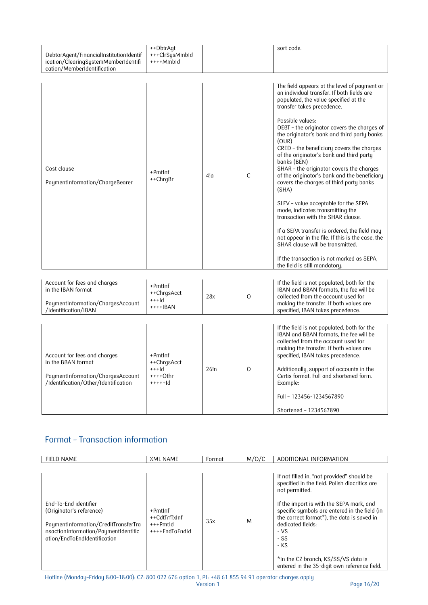| DebtorAgent/FinancialInstitutionIdentif<br>ication/ClearingSystemMemberIdentifi<br>cation/MemberIdentification                  | ++DbtrAgt<br>+++ClrSysMmbId<br>$+++Mmbld$                 |      |               | sort code.                                                                                                                                                                                                                                                                                                                                                                                                                                                                                                                                                                                                                                                                                                                                                                                                                                                                                  |
|---------------------------------------------------------------------------------------------------------------------------------|-----------------------------------------------------------|------|---------------|---------------------------------------------------------------------------------------------------------------------------------------------------------------------------------------------------------------------------------------------------------------------------------------------------------------------------------------------------------------------------------------------------------------------------------------------------------------------------------------------------------------------------------------------------------------------------------------------------------------------------------------------------------------------------------------------------------------------------------------------------------------------------------------------------------------------------------------------------------------------------------------------|
| Cost clause<br>PaymentInformation/ChargeBearer                                                                                  | +PmtInf<br>++ChrgBr                                       | 4!a  | C             | The field appears at the level of payment or<br>an individual transfer. If both fields are<br>populated, the value specified at the<br>transfer takes precedence.<br>Possible values:<br>DEBT - the originator covers the charges of<br>the originator's bank and third party banks<br>(OUR)<br>CRED - the beneficiary covers the charges<br>of the originator's bank and third party<br>banks (BEN)<br>SHAR - the originator covers the charges<br>of the originator's bank and the beneficiary<br>covers the charges of third party banks<br>(SHA)<br>SLEV - value acceptable for the SEPA<br>mode, indicates transmitting the<br>transaction with the SHAR clause.<br>If a SEPA transfer is ordered, the field may<br>not appear in the file. If this is the case, the<br>SHAR clause will be transmitted.<br>If the transaction is not marked as SEPA,<br>the field is still mandatory. |
| Account for fees and charges<br>in the IBAN format<br>PaymentInformation/ChargesAccount<br>/Identification/IBAN                 | +PmtInf<br>++ChrgsAcct<br>$++$ -Id<br>$+++IBAN$           | 28x  | $\mathcal{O}$ | If the field is not populated, both for the<br>IBAN and BBAN formats, the fee will be<br>collected from the account used for<br>making the transfer. If both values are<br>specified, IBAN takes precedence.                                                                                                                                                                                                                                                                                                                                                                                                                                                                                                                                                                                                                                                                                |
| Account for fees and charges<br>in the BBAN format<br>PaymentInformation/ChargesAccount<br>/Identification/Other/Identification | +PmtInf<br>++ChrgsAcct<br>$+++Id$<br>++++Othr<br>$++++1d$ | 26!n | $\Omega$      | If the field is not populated, both for the<br>IBAN and BBAN formats, the fee will be<br>collected from the account used for<br>making the transfer. If both values are<br>specified, IBAN takes precedence.<br>Additionally, support of accounts in the<br>Certis format. Full and shortened form.<br>Example:<br>Full - 123456-1234567890<br>Shortened - 1234567890                                                                                                                                                                                                                                                                                                                                                                                                                                                                                                                       |

### <span id="page-15-0"></span>Format – Transaction information

| <b>FIELD NAME</b>                                                                                                                                                 | <b>XML NAME</b>                                          | Format | M/O/C | ADDITIONAL INFORMATION                                                                                                                                                                                                                                                                                                                                                                                     |
|-------------------------------------------------------------------------------------------------------------------------------------------------------------------|----------------------------------------------------------|--------|-------|------------------------------------------------------------------------------------------------------------------------------------------------------------------------------------------------------------------------------------------------------------------------------------------------------------------------------------------------------------------------------------------------------------|
| Fnd-To-Fnd identifier<br>(Originator's reference)<br>PaymentInformation/CreditTransferTra<br>nsactionInformation/PaymentIdentific<br>ation/EndToEndIdentification | +PmtInf<br>++CdtTrfTxInf<br>$+++Pmtld$<br>++++FndToFndId | 35x    | M     | If not filled in, "not provided" should be<br>specified in the field. Polish diacritics are<br>not permitted.<br>If the import is with the SEPA mark, and<br>specific symbols are entered in the field (in<br>the correct format <sup>*</sup> ), the data is saved in<br>dedicated fields:<br>$-VS$<br>- SS<br>- KS<br>*In the CZ branch, KS/SS/VS data is<br>entered in the 35-digit own reference field. |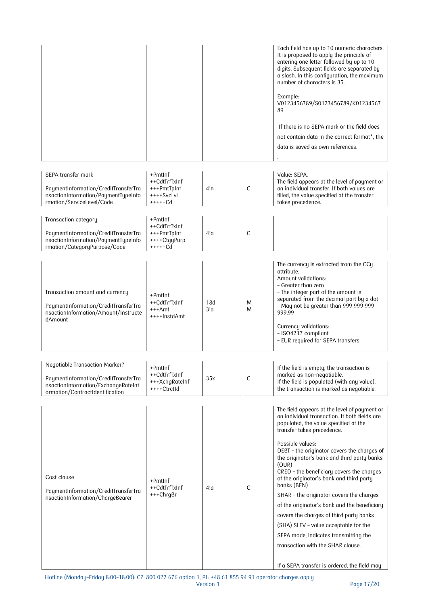|                                                                                                                                                         |                                                                       |            |              | Each field has up to 10 numeric characters.<br>It is proposed to apply the principle of<br>entering one letter followed by up to 10<br>digits. Subsequent fields are separated by<br>a slash. In this configuration, the maximum<br>number of characters is 35.<br>Example:<br>V0123456789/S0123456789/K01234567<br>89<br>If there is no SFPA mark or the field does<br>not contain data in the correct format*, the<br>data is saved as own references.                                                                                                                                                                                                                                                              |
|---------------------------------------------------------------------------------------------------------------------------------------------------------|-----------------------------------------------------------------------|------------|--------------|-----------------------------------------------------------------------------------------------------------------------------------------------------------------------------------------------------------------------------------------------------------------------------------------------------------------------------------------------------------------------------------------------------------------------------------------------------------------------------------------------------------------------------------------------------------------------------------------------------------------------------------------------------------------------------------------------------------------------|
| SEPA transfer mark<br>PaymentInformation/CreditTransferTra<br>nsactionInformation/PaymentTypeInfo<br>rmation/ServiceLevel/Code                          | +PmtInf<br>++CdtTrfTxInf<br>+++PmtTpInf<br>$+++SvcLvl$<br>$+++++Cd$   | 4!n        | $\mathsf{C}$ | Value: SEPA.<br>The field appears at the level of payment or<br>an individual transfer. If both values are<br>filled, the value specified at the transfer<br>takes precedence.                                                                                                                                                                                                                                                                                                                                                                                                                                                                                                                                        |
| Transaction category<br>PaymentInformation/CreditTransferTra<br>nsactionInformation/PaymentTypeInfo<br>rmation/CategoryPurpose/Code                     | $+PmtInf$<br>++CdtTrfTxInf<br>+++PmtTpInf<br>++++CtgyPurp<br>$++++Cd$ | 4!0        | $\mathsf{C}$ |                                                                                                                                                                                                                                                                                                                                                                                                                                                                                                                                                                                                                                                                                                                       |
| Transaction amount and currency<br>PaymentInformation/CreditTransferTra<br>nsactionInformation/Amount/Instructe<br>dAmount                              | +PmtInf<br>++CdtTrfTxInf<br>$***$ Amt<br>++++InstdAmt                 | 18d<br>3!a | M<br>M       | The currency is extracted from the CCy<br>attribute.<br>Amount validations:<br>- Greater than zero<br>- The integer part of the amount is<br>separated from the decimal part by a dot<br>- May not be greater than 999 999 999<br>999.99<br>Currency validations:<br>- ISO4217 compliant<br>- EUR required for SEPA transfers                                                                                                                                                                                                                                                                                                                                                                                         |
| <b>Negotiable Transaction Marker?</b><br>PaymentInformation/CreditTransferTra<br>nsactionInformation/ExchangeRateInf<br>ormation/ContractIdentification | +PmtInf<br>++CdtTrfTxInf<br>+++XchgRateInf<br>++++CtrctId             | 35x        | С            | If the field is empty, the transaction is<br>marked as non-negotiable.<br>If the field is populated (with any value),<br>the transaction is marked as negotiable.                                                                                                                                                                                                                                                                                                                                                                                                                                                                                                                                                     |
| Cost clause<br>PaymentInformation/CreditTransferTra<br>nsactionInformation/ChargeBearer                                                                 | +PmtInf<br>++CdtTrfTxInf<br>+++ChrgBr                                 | 4!a        | $\mathsf{C}$ | The field appears at the level of payment or<br>an individual transaction. If both fields are<br>populated, the value specified at the<br>transfer takes precedence.<br>Possible values:<br>DEBT - the originator covers the charges of<br>the originator's bank and third party banks<br>(OUR)<br>CRED - the beneficiary covers the charges<br>of the originator's bank and third party<br>banks (BEN)<br>SHAR - the originator covers the charges<br>of the originator's bank and the beneficiary<br>covers the charges of third party banks<br>(SHA) SLEV - value acceptable for the<br>SEPA mode, indicates transmitting the<br>transaction with the SHAR clause.<br>If a SEPA transfer is ordered, the field may |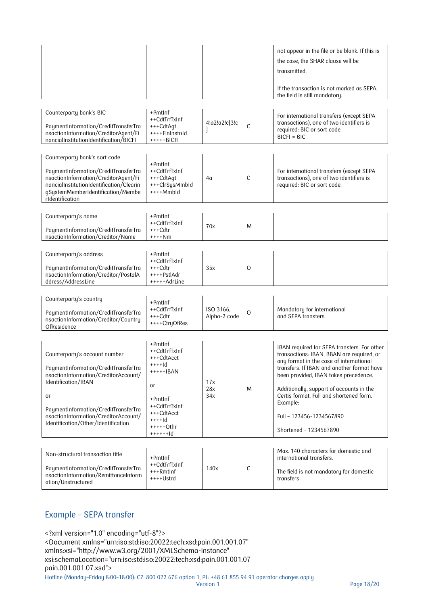|                                                                                                                                                                                                                                                                   |                                                                                                                                                       |                           |              | not appear in the file or be blank. If this is<br>the case, the SHAR clause will be<br>transmitted.<br>If the transaction is not marked as SEPA,<br>the field is still mandatory.                                                                                                                                                                                                   |
|-------------------------------------------------------------------------------------------------------------------------------------------------------------------------------------------------------------------------------------------------------------------|-------------------------------------------------------------------------------------------------------------------------------------------------------|---------------------------|--------------|-------------------------------------------------------------------------------------------------------------------------------------------------------------------------------------------------------------------------------------------------------------------------------------------------------------------------------------------------------------------------------------|
| Counterparty bank's BIC<br>PaymentInformation/CreditTransferTra<br>nsactionInformation/CreditorAgent/Fi<br>nancialInstitutionIdentification/BICFI                                                                                                                 | +PmtInf<br>++CdtTrfTxInf<br>+++CdtAqt<br>++++FinInstnId<br>$+++++BICFI$                                                                               | 4!a2!a2!c[3!c             | $\mathsf{C}$ | For international transfers (except SEPA<br>transactions), one of two identifiers is<br>required: BIC or sort code.<br>$BICFI = BIC$                                                                                                                                                                                                                                                |
| Counterparty bank's sort code<br>PaymentInformation/CreditTransferTra<br>nsactionInformation/CreditorAgent/Fi<br>nancialInstitutionIdentification/Clearin<br>gSystemMemberIdentification/Membe<br>rIdentification                                                 | +PmtInf<br>++CdtTrfTxInf<br>+++CdtAqt<br>+++ClrSysMmbId<br>++++Mmbld                                                                                  | 4α                        | $\mathsf{C}$ | For international transfers (except SEPA<br>transactions), one of two identifiers is<br>required: BIC or sort code.                                                                                                                                                                                                                                                                 |
| Counterparty's name<br>PaymentInformation/CreditTransferTra<br>nsactionInformation/Creditor/Name                                                                                                                                                                  | +PmtInf<br>++CdtTrfTxInf<br>+++Cdtr<br>++++Nm                                                                                                         | 70x                       | M            |                                                                                                                                                                                                                                                                                                                                                                                     |
| Counterparty's address<br>PaymentInformation/CreditTransferTra<br>nsactionInformation/Creditor/PostalA<br>ddress/AddressLine                                                                                                                                      | +PmtInf<br>++CdtTrfTxInf<br>+++Cdtr<br>++++PstlAdr<br>+++++AdrLine                                                                                    | 35x                       | $\Omega$     |                                                                                                                                                                                                                                                                                                                                                                                     |
| Counterparty's country<br>PaymentInformation/CreditTransferTra<br>nsactionInformation/Creditor/Country<br>OfResidence                                                                                                                                             | +PmtInf<br>++CdtTrfTxInf<br>+++Cdtr<br>++++CtryOfRes                                                                                                  | ISO 3166,<br>Alpha-2 code | $\circ$      | Mandatory for international<br>and SEPA transfers.                                                                                                                                                                                                                                                                                                                                  |
| Counterparty's account number<br>PaymentInformation/CreditTransferTra<br>nsactionInformation/CreditorAccount/<br>Identification/IBAN<br>or<br>PaymentInformation/CreditTransferTra<br>nsactionInformation/CreditorAccount/<br>Identification/Other/Identification | +PmtInf<br>++CdtTrfTxInf<br>+++CdtAcct<br>$+++$ -Id<br>$++++ BAN$<br>or<br>+PmtInf<br>++CdtTrfTxInf<br>+++CdtAcct<br>$h1++++$<br>$***+Othr$<br>++++++ | 17x<br>28x<br>34x         | M            | IBAN required for SEPA transfers. For other<br>transactions: IBAN, BBAN are required, or<br>any format in the case of international<br>transfers. If IBAN and another format have<br>been provided, IBAN takes precedence.<br>Additionally, support of accounts in the<br>Certis format. Full and shortened form.<br>Example:<br>Full - 123456-1234567890<br>Shortened - 1234567890 |
| Non-structural transaction title<br>PaymentInformation/CreditTransferTra<br>nsactionInformation/RemittanceInform<br>ation/Unstructured                                                                                                                            | +PmtInf<br>++CdtTrfTxInf<br>+++RmtInf<br>++++Ustrd                                                                                                    | 140x                      | $\mathsf{C}$ | Max. 140 characters for domestic and<br>international transfers.<br>The field is not mandatory for domestic<br>transfers                                                                                                                                                                                                                                                            |

#### <span id="page-17-0"></span>Example – SEPA transfer

<?xml version="1.0" encoding="utf-8"?>

<Document xmlns="urn:iso:std:iso:20022:tech:xsd:pain.001.001.07" xmlns:xsi="http://www.w3.org/2001/XMLSchema-instance" xsi:schemaLocation="urn:iso:std:iso:20022:tech:xsd:pain.001.001.07 pain.001.001.07.xsd">

Hotline (Monday–Friday 8:00–18:00): CZ: 800 022 676 option 1, PL: +48 61 855 94 91 operator charges apply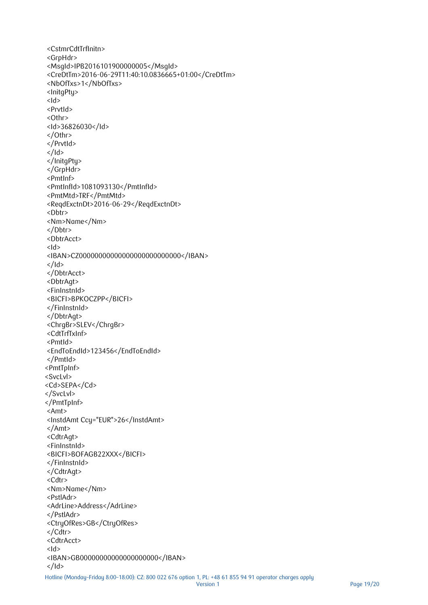```
<CstmrCdtTrfInitn>
<GrpHdr>
<MsgId>IPB2016101900000005</MsgId>
<CreDtTm>2016-06-29T11:40:10.0836665+01:00</CreDtTm>
<NbOfTxs>1</NbOfTxs>
<InitgPty>
<Id><PrvtId>
<Othr>
<Id>36826030</Id>
</Othr>
</PrvtId>
</Id>
</InitgPty>
</GrpHdr>
<PmtInf>
<PmtInfId>1081093130</PmtInfId>
<PmtMtd>TRF</PmtMtd>
<ReqdExctnDt>2016-06-29</ReqdExctnDt>
<Dbtr>
<Nm>Name</Nm>
</Dbtr>
<DbtrAcct>
d>
<IBAN>CZ00000000000000000000000000</IBAN>
</Id>
</DbtrAcct>
<DbtrAgt>
<FinInstnId>
<BICFI>BPKOCZPP</BICFI>
</FinInstnId>
</DbtrAgt>
<ChrgBr>SLEV</ChrgBr>
<CdtTrfTxInf>
<PmtId>
<EndToEndId>123456</EndToEndId>
</PmtId>
<PmtTpInf>
<SvcLvl>
<Cd>SEPA</Cd>
</SvcLvl>
</PmtTpInf>
<Amt>
<InstdAmt Ccy="EUR">26</InstdAmt>
</Amt>
<CdtrAgt>
<FinInstnId>
<BICFI>BOFAGB22XXX</BICFI>
</FinInstnId>
</CdtrAgt>
<Cdtr>
<Nm>Name</Nm>
<PstlAdr>
<AdrLine>Address</AdrLine>
</PstlAdr>
<CtryOfRes>GB</CtryOfRes>
</Cdtr>
<CdtrAcct>
<Id>
<IBAN>GB00000000000000000000</IBAN>
</Id>
```